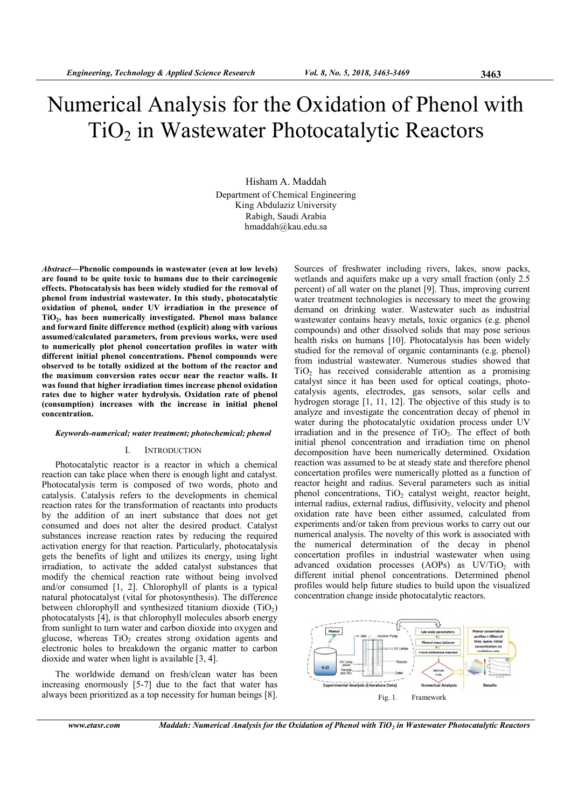# Numerical Analysis for the Oxidation of Phenol with  $TiO<sub>2</sub>$  in Wastewater Photocatalytic Reactors

Hisham A. Maddah Department of Chemical Engineering King Abdulaziz University Rabigh, Saudi Arabia hmaddah@kau.edu.sa

Abstract—Phenolic compounds in wastewater (even at low levels) are found to be quite toxic to humans due to their carcinogenic effects. Photocatalysis has been widely studied for the removal of phenol from industrial wastewater. In this study, photocatalytic oxidation of phenol, under UV irradiation in the presence of TiO<sub>2</sub>, has been numerically investigated. Phenol mass balance and forward finite difference method (explicit) along with various assumed/calculated parameters, from previous works, were used to numerically plot phenol concertation profiles in water with different initial phenol concentrations. Phenol compounds were observed to be totally oxidized at the bottom of the reactor and the maximum conversion rates occur near the reactor walls. It was found that higher irradiation times increase phenol oxidation rates due to higher water hydrolysis. Oxidation rate of phenol (consumption) increases with the increase in initial phenol concentration.

#### Keywords-numerical; water treatment; photochemical; phenol

# I. INTRODUCTION

Photocatalytic reactor is a reactor in which a chemical reaction can take place when there is enough light and catalyst. Photocatalysis term is composed of two words, photo and catalysis. Catalysis refers to the developments in chemical reaction rates for the transformation of reactants into products by the addition of an inert substance that does not get consumed and does not alter the desired product. Catalyst substances increase reaction rates by reducing the required activation energy for that reaction. Particularly, photocatalysis gets the benefits of light and utilizes its energy, using light irradiation, to activate the added catalyst substances that modify the chemical reaction rate without being involved and/or consumed [1, 2]. Chlorophyll of plants is a typical natural photocatalyst (vital for photosynthesis). The difference between chlorophyll and synthesized titanium dioxide  $(TiO<sub>2</sub>)$ photocatalysts [4], is that chlorophyll molecules absorb energy from sunlight to turn water and carbon dioxide into oxygen and glucose, whereas  $TiO<sub>2</sub>$  creates strong oxidation agents and electronic holes to breakdown the organic matter to carbon dioxide and water when light is available [3, 4].

The worldwide demand on fresh/clean water has been increasing enormously [5-7] due to the fact that water has always been prioritized as a top necessity for human beings [8].

Sources of freshwater including rivers, lakes, snow packs, wetlands and aquifers make up a very small fraction (only 2.5 percent) of all water on the planet [9]. Thus, improving current water treatment technologies is necessary to meet the growing demand on drinking water. Wastewater such as industrial wastewater contains heavy metals, toxic organics (e.g. phenol compounds) and other dissolved solids that may pose serious health risks on humans [10]. Photocatalysis has been widely studied for the removal of organic contaminants (e.g. phenol) from industrial wastewater. Numerous studies showed that  $TiO<sub>2</sub>$  has received considerable attention as a promising catalyst since it has been used for optical coatings, photocatalysis agents, electrodes, gas sensors, solar cells and hydrogen storage [1, 11, 12]. The objective of this study is to analyze and investigate the concentration decay of phenol in water during the photocatalytic oxidation process under UV irradiation and in the presence of  $TiO<sub>2</sub>$ . The effect of both initial phenol concentration and irradiation time on phenol decomposition have been numerically determined. Oxidation reaction was assumed to be at steady state and therefore phenol concertation profiles were numerically plotted as a function of reactor height and radius. Several parameters such as initial phenol concentrations,  $TiO<sub>2</sub>$  catalyst weight, reactor height, internal radius, external radius, diffusivity, velocity and phenol oxidation rate have been either assumed, calculated from experiments and/or taken from previous works to carry out our numerical analysis. The novelty of this work is associated with the numerical determination of the decay in phenol concertation profiles in industrial wastewater when using advanced oxidation processes  $(AOPs)$  as  $UV/TiO<sub>2</sub>$  with different initial phenol concentrations. Determined phenol profiles would help future studies to build upon the visualized concentration change inside photocatalytic reactors.

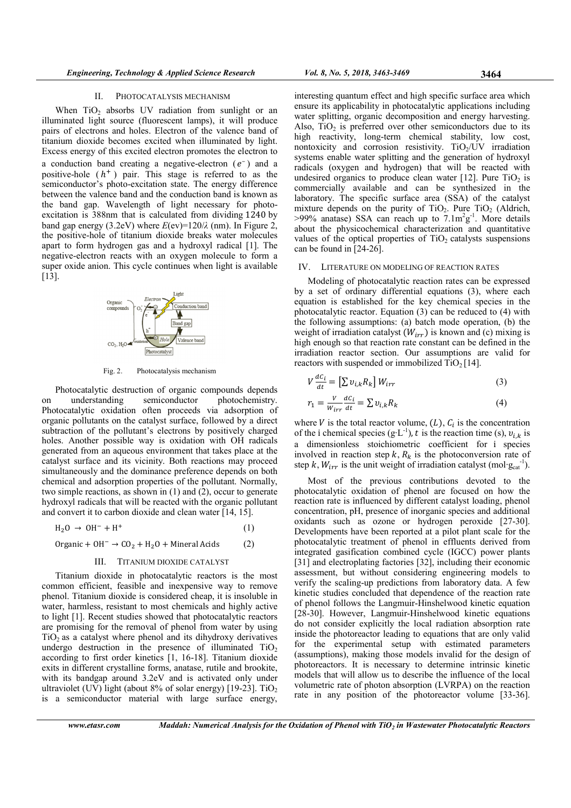#### II. PHOTOCATALYSIS MECHANISM

When  $TiO<sub>2</sub>$  absorbs UV radiation from sunlight or an illuminated light source (fluorescent lamps), it will produce pairs of electrons and holes. Electron of the valence band of titanium dioxide becomes excited when illuminated by light. Excess energy of this excited electron promotes the electron to

a conduction band creating a negative-electron  $(e^-)$  and a positive-hole  $(h<sup>+</sup>)$  pair. This stage is referred to as the semiconductor's photo-excitation state. The energy difference between the valence band and the conduction band is known as the band gap. Wavelength of light necessary for photoexcitation is 388nm that is calculated from dividing 1240 by band gap energy (3.2eV) where  $E(ev)=120/\lambda$  (nm). In Figure 2, the positive-hole of titanium dioxide breaks water molecules apart to form hydrogen gas and a hydroxyl radical [1]. The negative-electron reacts with an oxygen molecule to form a super oxide anion. This cycle continues when light is available [13].



Fig. 2. Photocatalysis mechanism

Photocatalytic destruction of organic compounds depends on understanding semiconductor photochemistry. Photocatalytic oxidation often proceeds via adsorption of organic pollutants on the catalyst surface, followed by a direct subtraction of the pollutant's electrons by positively charged holes. Another possible way is oxidation with OH radicals generated from an aqueous environment that takes place at the catalyst surface and its vicinity. Both reactions may proceed simultaneously and the dominance preference depends on both chemical and adsorption properties of the pollutant. Normally, two simple reactions, as shown in (1) and (2), occur to generate hydroxyl radicals that will be reacted with the organic pollutant and convert it to carbon dioxide and clean water [14, 15].

$$
H_2O \rightarrow OH^- + H^+ \tag{1}
$$

Organic +  $OH^- \rightarrow CO_2 + H_2O +$  Mineral Acids (2)

## III. TITANIUM DIOXIDE CATALYST

Titanium dioxide in photocatalytic reactors is the most common efficient, feasible and inexpensive way to remove phenol. Titanium dioxide is considered cheap, it is insoluble in water, harmless, resistant to most chemicals and highly active to light [1]. Recent studies showed that photocatalytic reactors are promising for the removal of phenol from water by using  $TiO<sub>2</sub>$  as a catalyst where phenol and its dihydroxy derivatives undergo destruction in the presence of illuminated  $TiO<sub>2</sub>$ according to first order kinetics [1, 16-18]. Titanium dioxide exits in different crystalline forms, anatase, rutile and brookite, with its bandgap around 3.2eV and is activated only under ultraviolet (UV) light (about  $8\%$  of solar energy) [19-23]. TiO<sub>2</sub> is a semiconductor material with large surface energy,

interesting quantum effect and high specific surface area which ensure its applicability in photocatalytic applications including water splitting, organic decomposition and energy harvesting. Also,  $TiO<sub>2</sub>$  is preferred over other semiconductors due to its high reactivity, long-term chemical stability, low cost, nontoxicity and corrosion resistivity.  $TiO<sub>2</sub>/UV$  irradiation systems enable water splitting and the generation of hydroxyl radicals (oxygen and hydrogen) that will be reacted with undesired organics to produce clean water  $[12]$ . Pure  $TiO<sub>2</sub>$  is commercially available and can be synthesized in the laboratory. The specific surface area (SSA) of the catalyst mixture depends on the purity of  $TiO<sub>2</sub>$ . Pure  $TiO<sub>2</sub>$  (Aldrich,  $>99\%$  anatase) SSA can reach up to  $7.1 \text{m}^2 \text{g}^{-1}$ . More details about the physicochemical characterization and quantitative values of the optical properties of  $TiO<sub>2</sub>$  catalysts suspensions can be found in [24-26].

#### IV. LITERATURE ON MODELING OF REACTION RATES

Modeling of photocatalytic reaction rates can be expressed by a set of ordinary differential equations (3), where each equation is established for the key chemical species in the photocatalytic reactor. Equation (3) can be reduced to (4) with the following assumptions: (a) batch mode operation, (b) the weight of irradiation catalyst  $(W_{irr})$  is known and (c) mixing is high enough so that reaction rate constant can be defined in the irradiation reactor section. Our assumptions are valid for reactors with suspended or immobilized  $TiO<sub>2</sub> [14]$ .

$$
V\frac{dC_i}{dt} = \left[\sum v_{i,k}R_k\right]W_{irr} \tag{3}
$$

$$
r_1 = \frac{v}{w_{irr}} \frac{dc_i}{dt} = \sum v_{i,k} R_k
$$
\n(4)

where  $V$  is the total reactor volume,  $(L)$ ,  $C_i$  is the concentration of the i chemical species (g·L<sup>-1</sup>), t is the reaction time (s),  $v_{i,k}$  is a dimensionless stoichiometric coefficient for і species involved in reaction step  $k$ ,  $R_k$  is the photoconversion rate of step k,  $W_{irr}$  is the unit weight of irradiation catalyst (mol· $g_{cat}^{-1}$ ).

Most of the previous contributions devoted to the photocatalytic oxidation of phenol are focused on how the reaction rate is influenced by different catalyst loading, phenol concentration, pH, presence of inorganic species and additional oxidants such as ozone or hydrogen peroxide [27-30]. Developments have been reported at a pilot plant scale for the photocatalytic treatment of phenol in effluents derived from integrated gasification combined cycle (IGCC) power plants [31] and electroplating factories [32], including their economic assessment, but without considering engineering models to verify the scaling-up predictions from laboratory data. A few kinetic studies concluded that dependence of the reaction rate of phenol follows the Langmuir-Hinshelwood kinetic equation [28-30]. However, Langmuir-Hinshelwood kinetic equations do not consider explicitly the local radiation absorption rate inside the photoreactor leading to equations that are only valid for the experimental setup with estimated parameters (assumptions), making those models invalid for the design of photoreactors. It is necessary to determine intrinsic kinetic models that will allow us to describe the influence of the local volumetric rate of photon absorption (LVRPA) on the reaction rate in any position of the photoreactor volume [33-36].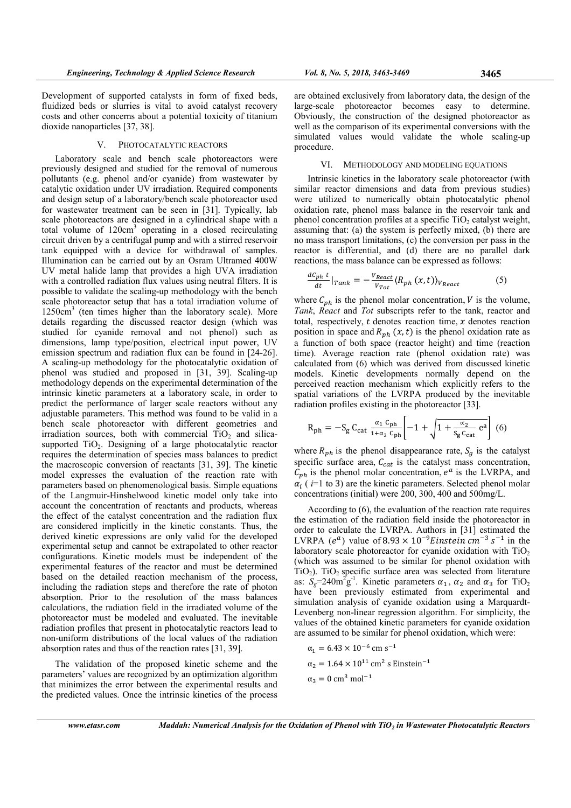Development of supported catalysts in form of fixed beds, fluidized beds or slurries is vital to avoid catalyst recovery costs and other concerns about a potential toxicity of titanium dioxide nanoparticles [37, 38].

## V. PHOTOCATALYTIC REACTORS

Laboratory scale and bench scale photoreactors were previously designed and studied for the removal of numerous pollutants (e.g. phenol and/or cyanide) from wastewater by catalytic oxidation under UV irradiation. Required components and design setup of a laboratory/bench scale photoreactor used for wastewater treatment can be seen in [31]. Typically, lab scale photoreactors are designed in a cylindrical shape with a total volume of 120cm<sup>3</sup> operating in a closed recirculating circuit driven by a centrifugal pump and with a stirred reservoir tank equipped with a device for withdrawal of samples. Illumination can be carried out by an Osram Ultramed 400W UV metal halide lamp that provides a high UVA irradiation with a controlled radiation flux values using neutral filters. It is possible to validate the scaling-up methodology with the bench scale photoreactor setup that has a total irradiation volume of 1250cm<sup>3</sup> (ten times higher than the laboratory scale). More details regarding the discussed reactor design (which was studied for cyanide removal and not phenol) such as dimensions, lamp type/position, electrical input power, UV emission spectrum and radiation flux can be found in [24-26]. A scaling-up methodology for the photocatalytic oxidation of phenol was studied and proposed in [31, 39]. Scaling-up methodology depends on the experimental determination of the intrinsic kinetic parameters at a laboratory scale, in order to predict the performance of larger scale reactors without any adjustable parameters. This method was found to be valid in a bench scale photoreactor with different geometries and irradiation sources, both with commercial  $\tilde{TiO}$  and silicasupported TiO<sub>2</sub>. Designing of a large photocatalytic reactor requires the determination of species mass balances to predict the macroscopic conversion of reactants [31, 39]. The kinetic model expresses the evaluation of the reaction rate with parameters based on phenomenological basis. Simple equations of the Langmuir-Hinshelwood kinetic model only take into account the concentration of reactants and products, whereas the effect of the catalyst concentration and the radiation flux are considered implicitly in the kinetic constants. Thus, the derived kinetic expressions are only valid for the developed experimental setup and cannot be extrapolated to other reactor configurations. Kinetic models must be independent of the experimental features of the reactor and must be determined based on the detailed reaction mechanism of the process, including the radiation steps and therefore the rate of photon absorption. Prior to the resolution of the mass balances calculations, the radiation field in the irradiated volume of the photoreactor must be modeled and evaluated. The inevitable radiation profiles that present in photocatalytic reactors lead to non-uniform distributions of the local values of the radiation absorption rates and thus of the reaction rates [31, 39].

The validation of the proposed kinetic scheme and the parameters' values are recognized by an optimization algorithm that minimizes the error between the experimental results and the predicted values. Once the intrinsic kinetics of the process are obtained exclusively from laboratory data, the design of the large-scale photoreactor becomes easy to determine. Obviously, the construction of the designed photoreactor as well as the comparison of its experimental conversions with the simulated values would validate the whole scaling-up procedure.

## VI. METHODOLOGY AND MODELING EQUATIONS

Intrinsic kinetics in the laboratory scale photoreactor (with similar reactor dimensions and data from previous studies) were utilized to numerically obtain photocatalytic phenol oxidation rate, phenol mass balance in the reservoir tank and phenol concentration profiles at a specific  $TiO<sub>2</sub>$  catalyst weight, assuming that: (a) the system is perfectly mixed, (b) there are no mass transport limitations, (c) the conversion per pass in the reactor is differential, and (d) there are no parallel dark reactions, the mass balance can be expressed as follows:

$$
\frac{dC_{ph}t}{dt}|_{Tank} = -\frac{V_{React}}{V_{Tot}}\langle R_{ph}(x,t)\rangle_{V_{React}}
$$
(5)

where  $C_{ph}$  is the phenol molar concentration, V is the volume, Tank, React and Tot subscripts refer to the tank, reactor and total, respectively,  $t$  denotes reaction time,  $x$  denotes reaction position in space and  $R_{ph}$  (x, t) is the phenol oxidation rate as a function of both space (reactor height) and time (reaction time). Average reaction rate (phenol oxidation rate) was calculated from (6) which was derived from discussed kinetic models. Kinetic developments normally depend on the perceived reaction mechanism which explicitly refers to the spatial variations of the LVRPA produced by the inevitable radiation profiles existing in the photoreactor [33].

$$
R_{ph} = -S_g C_{cat} \frac{\alpha_1 C_{ph}}{1 + \alpha_3 C_{ph}} \left[ -1 + \sqrt{1 + \frac{\alpha_2}{S_g C_{cat}} e^a} \right] (6)
$$

where  $R_{ph}$  is the phenol disappearance rate,  $S_g$  is the catalyst specific surface area,  $C_{cat}$  is the catalyst mass concentration,  $C_{ph}$  is the phenol molar concentration,  $e^a$  is the LVRPA, and  $\alpha_i$  ( $i=1$  to 3) are the kinetic parameters. Selected phenol molar concentrations (initial) were 200, 300, 400 and 500mg/L.

According to (6), the evaluation of the reaction rate requires the estimation of the radiation field inside the photoreactor in order to calculate the LVRPA. Authors in [31] estimated the LVRPA  $(e^a)$  value of  $8.93 \times 10^{-9}$ *Einstein*  $cm^{-3}$  s<sup>-1</sup> in the laboratory scale photoreactor for cyanide oxidation with  $TiO<sub>2</sub>$ (which was assumed to be similar for phenol oxidation with TiO<sub>2</sub>). TiO<sub>2</sub> specific surface area was selected from literature as:  $S_g = 240 \text{m}^2 \text{g}^{-1}$ . Kinetic parameters  $\alpha_1$ ,  $\alpha_2$  and  $\alpha_3$  for TiO<sub>2</sub> have been previously estimated from experimental and simulation analysis of cyanide oxidation using a Marquardt-Levenberg non-linear regression algorithm. For simplicity, the values of the obtained kinetic parameters for cyanide oxidation are assumed to be similar for phenol oxidation, which were:

$$
\alpha_1 = 6.43 \times 10^{-6} \text{ cm s}^{-1}
$$
  
\n
$$
\alpha_2 = 1.64 \times 10^{11} \text{ cm}^2 \text{ s Einstein}^{-1}
$$
  
\n
$$
\alpha_3 = 0 \text{ cm}^3 \text{ mol}^{-1}
$$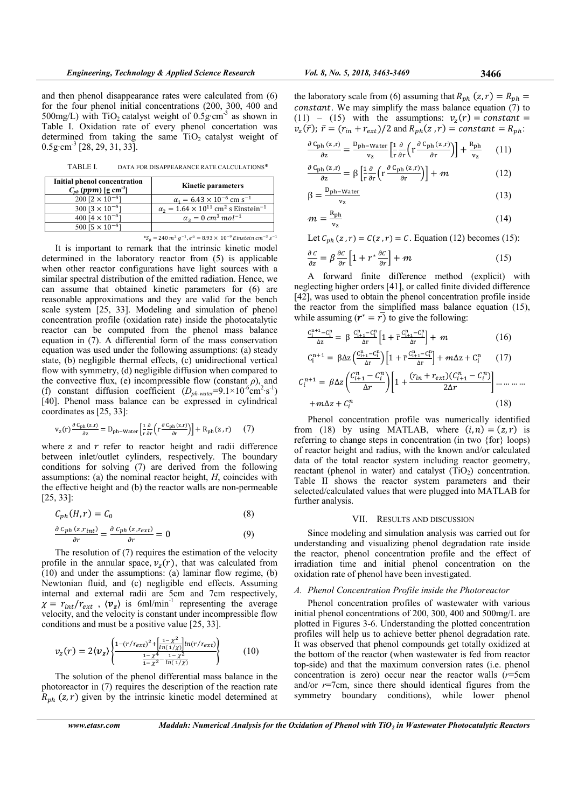and then phenol disappearance rates were calculated from (6) for the four phenol initial concentrations (200, 300, 400 and 500mg/L) with  $TiO<sub>2</sub>$  catalyst weight of 0.5g·cm<sup>-3</sup> as shown in Table I. Oxidation rate of every phenol concertation was determined from taking the same  $TiO<sub>2</sub>$  catalyst weight of  $0.5g \text{·cm}^{-3}$  [28, 29, 31, 33].

TABLE I. DATA FOR DISAPPEARANCE RATE CALCULATIONS\*

| Initial phenol concentration<br>$C_{ph}$ (ppm) [g cm <sup>-3</sup> ] | <b>Kinetic parameters</b>                                                 |
|----------------------------------------------------------------------|---------------------------------------------------------------------------|
| $200$ $[2 \times 10^{-4}]$                                           | $\alpha_1 = 6.43 \times 10^{-6}$ cm s <sup>-1</sup>                       |
| $300$ [3 $\times$ 10 <sup>-4</sup> ]                                 | $\alpha_2 = 1.64 \times 10^{11}$ cm <sup>2</sup> s Einstein <sup>-1</sup> |
| 400 $[4 \times 10^{-4}]$                                             | $\alpha_3 = 0$ cm <sup>3</sup> mol <sup>-1</sup>                          |
| 500 $[5 \times 10^{-4}]$                                             |                                                                           |
|                                                                      |                                                                           |

 $^*S_g = 240 \; m^2 \; g^{-1}, e^a = 8.93 \times \; 10^{-9} \; Einstein \; cm^{-3} \; s^{-1}$ 

It is important to remark that the intrinsic kinetic model determined in the laboratory reactor from (5) is applicable when other reactor configurations have light sources with a similar spectral distribution of the emitted radiation. Hence, we can assume that obtained kinetic parameters for (6) are reasonable approximations and they are valid for the bench scale system [25, 33]. Modeling and simulation of phenol concentration profile (oxidation rate) inside the photocatalytic reactor can be computed from the phenol mass balance equation in (7). A differential form of the mass conservation equation was used under the following assumptions: (a) steady state, (b) negligible thermal effects, (c) unidirectional vertical flow with symmetry, (d) negligible diffusion when compared to the convective flux, (e) incompressible flow (constant  $\rho$ ), and (f) constant diffusion coefficient  $(D_{ph-water} = 9.1 \times 10^{-6} \text{cm}^2 \cdot \text{s}^{-1})$ [40]. Phenol mass balance can be expressed in cylindrical coordinates as [25, 33]:

$$
v_{z}(r) \frac{\partial c_{ph}(z,r)}{\partial z} = D_{ph-Water} \left[ \frac{1}{r} \frac{\partial}{\partial r} \left( r \frac{\partial c_{ph}(z,r)}{\partial r} \right) \right] + R_{ph}(z,r) \tag{7}
$$

where  $z$  and  $r$  refer to reactor height and radii difference between inlet/outlet cylinders, respectively. The boundary conditions for solving (7) are derived from the following assumptions: (a) the nominal reactor height,  $H$ , coincides with the effective height and (b) the reactor walls are non-permeable [25, 33]:

$$
C_{ph}(H,r) = C_0 \tag{8}
$$

$$
\frac{\partial c_{ph}(z,r_{int})}{\partial r} = \frac{\partial c_{ph}(z,r_{ext})}{\partial r} = 0
$$
\n(9)

The resolution of (7) requires the estimation of the velocity profile in the annular space,  $v_z(r)$ , that was calculated from  $(10)$  and under the assumptions: (a) laminar flow regime, (b) Newtonian fluid, and (c) negligible end effects. Assuming internal and external radii are 5cm and 7cm respectively,  $\chi = r_{int}/r_{ext}$ ,  $\langle v_z \rangle$  is 6ml/min<sup>-1</sup> representing the average velocity, and the velocity is constant under incompressible flow conditions and must be a positive value [25, 33].

$$
v_z(r) = 2\langle v_z \rangle \left\{ \frac{1 - (r/r_{ext})^2 + \left[ \frac{1 - \chi^2}{\ln(1/\chi)} \right] \ln(r/r_{ext})}{\frac{1 - \chi^4}{1 - \chi^2} - \frac{1 - \chi^2}{\ln(1/\chi)}} \right\}
$$
(10)

The solution of the phenol differential mass balance in the photoreactor in (7) requires the description of the reaction rate  $R_{ph}$  (z, r) given by the intrinsic kinetic model determined at the laboratory scale from (6) assuming that  $R_{ph}$  (z, r) =  $R_{ph}$  = *constant*. We may simplify the mass balance equation  $(7)$  to  $(11)$  –  $(15)$  with the assumptions:  $v_z(r) = constant$  $v_z(\bar{r})$ ;  $\bar{r} = (r_{in} + r_{ext})/2$  and  $R_{ph}(z, r) = constant = R_{ph}$ :

$$
\frac{\partial c_{\rm ph}(z,r)}{\partial z} = \frac{D_{\rm ph-Water}}{v_z} \left[ \frac{1}{r} \frac{\partial}{\partial r} \left( r \frac{\partial c_{\rm ph}(z,r)}{\partial r} \right) \right] + \frac{R_{\rm ph}}{v_z} \qquad (11)
$$

$$
\frac{\partial C_{\text{ph}}(z,r)}{\partial z} = \beta \left[ \frac{1}{r} \frac{\partial}{\partial r} \left( r \frac{\partial C_{\text{ph}}(z,r)}{\partial r} \right) \right] + m \tag{12}
$$

$$
\beta = \frac{D_{ph-Water}}{v_z} \tag{13}
$$

$$
m = \frac{R_{ph}}{v_z} \tag{14}
$$

Let  $C_{ph}(z, r) = C(z, r) = C$ . Equation (12) becomes (15):

$$
\frac{\partial c}{\partial z} = \beta \frac{\partial c}{\partial r} \left[ 1 + r^* \frac{\partial c}{\partial r} \right] + m \tag{15}
$$

A forward finite difference method (explicit) with neglecting higher orders [41], or called finite divided difference [42], was used to obtain the phenol concentration profile inside the reactor from the simplified mass balance equation (15), while assuming  $(r^* = r)$  to give the following:

$$
\frac{C_{i}^{n+1} - C_{i}^{n}}{\Delta z} = \beta \frac{C_{i+1}^{n} - C_{i}^{n}}{\Delta r} \left[ 1 + \bar{r} \frac{C_{i+1}^{n} - C_{i}^{n}}{\Delta r} \right] + \mathcal{m}
$$
 (16)

$$
C_{i}^{n+1} = \beta \Delta z \left( \frac{C_{i+1}^{n} - C_{i}^{n}}{\Delta r} \right) \left[ 1 + \bar{r} \frac{C_{i+1}^{n} - C_{i}^{n}}{\Delta r} \right] + m \Delta z + C_{i}^{n} \qquad (17)
$$
  

$$
C_{i}^{n+1} = \beta \Delta z \left( \frac{C_{i+1}^{n} - C_{i}^{n}}{\Delta r} \right) \left[ 1 + \frac{(r_{in} + r_{ext})(C_{i+1}^{n} - C_{i}^{n})}{2\Delta r} \right] \dots \dots \dots
$$

$$
+ m \Delta z + C_{i}^{n} \qquad (18)
$$

Phenol concentration profile was numerically identified from (18) by using MATLAB, where  $(i, n) = (z, r)$  is referring to change steps in concentration (in two {for} loops) of reactor height and radius, with the known and/or calculated data of the total reactor system including reactor geometry, reactant (phenol in water) and catalyst  $(TiO<sub>2</sub>)$  concentration. Table II shows the reactor system parameters and their selected/calculated values that were plugged into MATLAB for further analysis.

#### VII. RESULTS AND DISCUSSION

Since modeling and simulation analysis was carried out for understanding and visualizing phenol degradation rate inside the reactor, phenol concentration profile and the effect of irradiation time and initial phenol concentration on the oxidation rate of phenol have been investigated.

#### A. Phenol Concentration Profile inside the Photoreactor

Phenol concentration profiles of wastewater with various initial phenol concentrations of 200, 300, 400 and 500mg/L are plotted in Figures 3-6. Understanding the plotted concentration profiles will help us to achieve better phenol degradation rate. It was observed that phenol compounds get totally oxidized at the bottom of the reactor (when wastewater is fed from reactor top-side) and that the maximum conversion rates (i.e. phenol concentration is zero) occur near the reactor walls  $(r=5cm)$ and/or  $r=7$ cm, since there should identical figures from the symmetry boundary conditions), while lower phenol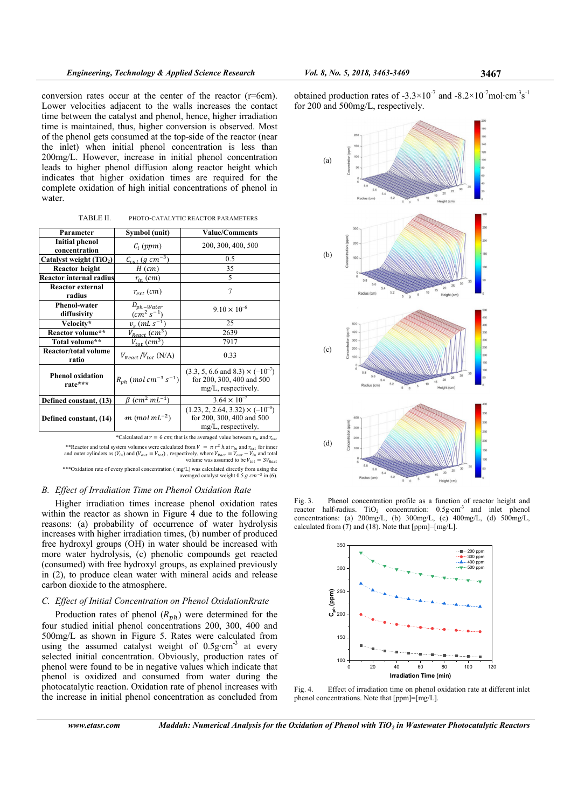conversion rates occur at the center of the reactor (r=6cm). Lower velocities adjacent to the walls increases the contact time between the catalyst and phenol, hence, higher irradiation time is maintained, thus, higher conversion is observed. Most of the phenol gets consumed at the top-side of the reactor (near the inlet) when initial phenol concentration is less than 200mg/L. However, increase in initial phenol concentration leads to higher phenol diffusion along reactor height which indicates that higher oxidation times are required for the complete oxidation of high initial concentrations of phenol in water.

| Parameter                              | Symbol (unit)                                    | <b>Value/Comments</b>                                                                                  |  |
|----------------------------------------|--------------------------------------------------|--------------------------------------------------------------------------------------------------------|--|
| <b>Initial phenol</b><br>concentration | $C_i$ (ppm)                                      | 200, 300, 400, 500                                                                                     |  |
| Catalyst weight $(TiO2)$               | $\frac{C_{cat} (g cm^{-3})}{2}$                  | 0.5                                                                                                    |  |
| <b>Reactor height</b>                  | $H$ (cm)                                         | 35                                                                                                     |  |
| <b>Reactor internal radius</b>         | $r_{in}$ (cm)                                    | 5                                                                                                      |  |
| Reactor external<br>radius             | $r_{ext}$ (cm)                                   | 7                                                                                                      |  |
| <b>Phenol-water</b><br>diffusivity     | $D_{ph-Water}$<br>$(cm^{2} S^{-1})$              | $9.10 \times 10^{-6}$                                                                                  |  |
| Velocity*                              | $v_{7}(mLs^{-1})$                                | 25                                                                                                     |  |
| Reactor volume**                       | $V_{React}\, (cm^3)$                             | 2639                                                                                                   |  |
| Total volume**                         | $V_{tot}(cm^3)$                                  | 7917                                                                                                   |  |
| <b>Reactor/total volume</b><br>ratio   | $V_{React}/V_{tot}$ (N/A)                        | 0.33                                                                                                   |  |
| <b>Phenol oxidation</b><br>rate***     | $R_{ph}$ (mol cm <sup>-3</sup> s <sup>-1</sup> ) | $(3.3, 5, 6.6 \text{ and } 8.3) \times (-10^{-7})$<br>for 200, 300, 400 and 500<br>mg/L, respectively. |  |
| Defined constant, (13)                 | $\beta$ (cm <sup>2</sup> mL <sup>-1</sup> )      | $3.64 \times 10^{-7}$                                                                                  |  |
| Defined constant, (14)                 | $m \ (mol \ mL^{-2})$                            | $(1.23, 2, 2.64, 3.32) \times (-10^{-8})$<br>for 200, 300, 400 and 500<br>mg/L, respectively.          |  |

\*Calculated at  $r = 6$  cm; that is the averaged value between  $r_{in}$  and  $r_{ext}$ 

\*\*Reactor and total system volumes were calculated from  $V = \pi r^2 h$  at  $r_{in}$  and  $r_{ext}$  for inner and outer cylinders as  $(V_{in})$  and  $(V_{out} = V_{tot})$ , respectively, where  $V_{Ract} = V_{out} - V_{in}$  and total volume was assumed to be  $V_{tot} = 3V_{Ract}$ \*\*\*Oxidation rate of every phenol concentration ( mg/L) was calculated directly from using the

averaged catalyst weight  $0.5$  g  $cm^{-3}$  in (6).

# B. Effect of Irradiation Time on Phenol Oxidation Rate

Higher irradiation times increase phenol oxidation rates within the reactor as shown in Figure 4 due to the following reasons: (a) probability of occurrence of water hydrolysis increases with higher irradiation times, (b) number of produced free hydroxyl groups (OH) in water should be increased with more water hydrolysis, (c) phenolic compounds get reacted (consumed) with free hydroxyl groups, as explained previously in (2), to produce clean water with mineral acids and release carbon dioxide to the atmosphere.

### C. Effect of Initial Concentration on Phenol OxidationRrate

Production rates of phenol  $(R_{nh})$  were determined for the four studied initial phenol concentrations 200, 300, 400 and 500mg/L as shown in Figure 5. Rates were calculated from using the assumed catalyst weight of  $0.5g \cdot cm^{-3}$  at every selected initial concentration. Obviously, production rates of phenol were found to be in negative values which indicate that phenol is oxidized and consumed from water during the photocatalytic reaction. Oxidation rate of phenol increases with the increase in initial phenol concentration as concluded from

obtained production rates of  $-3.3 \times 10^{-7}$  and  $-8.2 \times 10^{-7}$  mol·cm<sup>-3</sup>s<sup>-1</sup> for 200 and 500mg/L, respectively.



Fig. 3. Phenol concentration profile as a function of reactor height and reactor half-radius.  $TiO<sub>2</sub>$  concentration:  $0.5g \text{ cm}^{-3}$  and inlet phenol concentrations: (a) 200mg/L, (b) 300mg/L, (c) 400mg/L, (d) 500mg/L, calculated from (7) and (18). Note that [ppm]=[mg/L].



Fig. 4. Effect of irradiation time on phenol oxidation rate at different inlet phenol concentrations. Note that [ppm]=[mg/L].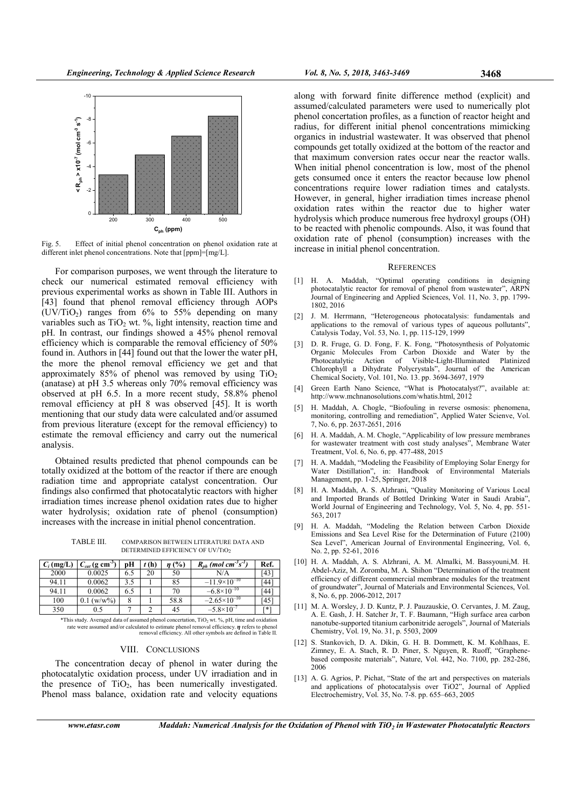

Fig. 5. Effect of initial phenol concentration on phenol oxidation rate at different inlet phenol concentrations. Note that  $[ppm] = [mg/L]$ .

For comparison purposes, we went through the literature to check our numerical estimated removal efficiency with previous experimental works as shown in Table III. Authors in [43] found that phenol removal efficiency through AOPs  $(UV/TiO<sub>2</sub>)$  ranges from 6% to 55% depending on many variables such as  $TiO<sub>2</sub>$  wt. %, light intensity, reaction time and pH. In contrast, our findings showed a 45% phenol removal efficiency which is comparable the removal efficiency of 50% found in. Authors in [44] found out that the lower the water pH, the more the phenol removal efficiency we get and that approximately  $85\%$  of phenol was removed by using TiO<sub>2</sub> (anatase) at pH 3.5 whereas only 70% removal efficiency was observed at pH 6.5. In a more recent study, 58.8% phenol removal efficiency at pH 8 was observed [45]. It is worth mentioning that our study data were calculated and/or assumed from previous literature (except for the removal efficiency) to estimate the removal efficiency and carry out the numerical analysis.

Obtained results predicted that phenol compounds can be totally oxidized at the bottom of the reactor if there are enough radiation time and appropriate catalyst concentration. Our findings also confirmed that photocatalytic reactors with higher irradiation times increase phenol oxidation rates due to higher water hydrolysis; oxidation rate of phenol (consumption) increases with the increase in initial phenol concentration.

TABLE III. COMPARISON BETWEEN LITERATURE DATA AND DETERMINED EFFICIENCY OF UV/TIO2

| $C_i$ (mg/L) | $C_{cat}$ (g cm <sup>-3</sup> ) | pН  | t(h) | (%)  | $R_{ph}$ (mol cm <sup>-3</sup> s <sup>-1</sup> ) | Ref.       |
|--------------|---------------------------------|-----|------|------|--------------------------------------------------|------------|
| 2000         | 0.0025                          | 6.5 | 20   | 50   | N/A                                              | <b>143</b> |
| 94.11        | 0.0062                          | 3.5 |      | 85   | $-11.9\times10^{-10}$                            | [44        |
| 94.11        | 0.0062                          | 6.5 |      | 70   | $-6.8 \times 10^{-10}$                           | [44        |
| 100          | $(w/w\%)$                       | 8   |      | 58.8 | $-2.65\times10^{-10}$                            | 145        |
| 350          | 0.5                             |     |      | 45   | $-5.8\times10^{-7}$                              | F*1        |

\*This study. Averaged data of assumed phenol concertation, TiO2 wt. %, pH, time and oxidation rate were assumed and/or calculated to estimate phenol removal efficiency.  $\eta$  refers to phenol removal efficiency. All other symbols are defined in Table II.

# VIII. CONCLUSIONS

The concentration decay of phenol in water during the photocatalytic oxidation process, under UV irradiation and in the presence of  $TiO<sub>2</sub>$ , has been numerically investigated. Phenol mass balance, oxidation rate and velocity equations along with forward finite difference method (explicit) and assumed/calculated parameters were used to numerically plot phenol concertation profiles, as a function of reactor height and radius, for different initial phenol concentrations mimicking organics in industrial wastewater. It was observed that phenol compounds get totally oxidized at the bottom of the reactor and that maximum conversion rates occur near the reactor walls. When initial phenol concentration is low, most of the phenol gets consumed once it enters the reactor because low phenol concentrations require lower radiation times and catalysts. However, in general, higher irradiation times increase phenol oxidation rates within the reactor due to higher water hydrolysis which produce numerous free hydroxyl groups (OH) to be reacted with phenolic compounds. Also, it was found that oxidation rate of phenol (consumption) increases with the increase in initial phenol concentration.

#### **REFERENCES**

- [1] H. A. Maddah, "Optimal operating conditions in designing photocatalytic reactor for removal of phenol from wastewater", ARPN Journal of Engineering and Applied Sciences, Vol. 11, No. 3, pp. 1799- 1802, 2016
- [2] J. M. Herrmann, "Heterogeneous photocatalysis: fundamentals and applications to the removal of various types of aqueous pollutants", Catalysis Today, Vol. 53, No. 1, pp. 115-129, 1999
- [3] D. R. Fruge, G. D. Fong, F. K. Fong, "Photosynthesis of Polyatomic Organic Molecules From Carbon Dioxide and Water by the Photocatalytic Action of Visible-Light-Illuminated Platinized Chlorophyll a Dihydrate Polycrystals", Journal of the American Chemical Society, Vol. 101, No. 13. pp. 3694-3697, 1979
- [4] Green Earth Nano Science, "What is Photocatalyst?", available at: http://www.mchnanosolutions.com/whatis.html, 2012
- [5] H. Maddah, A. Chogle, "Biofouling in reverse osmosis: phenomena, monitoring, controlling and remediation", Applied Water Scienve, Vol. 7, No. 6, pp. 2637-2651, 2016
- [6] H. A. Maddah, A. M. Chogle, "Applicability of low pressure membranes for wastewater treatment with cost study analyses", Membrane Water Treatment, Vol. 6, No. 6, pp. 477-488, 2015
- [7] H. A. Maddah, "Modeling the Feasibility of Employing Solar Energy for Water Distillation", in: Handbook of Environmental Materials Management, pp. 1-25, Springer, 2018
- [8] H. A. Maddah, A. S. Alzhrani, "Quality Monitoring of Various Local and Imported Brands of Bottled Drinking Water in Saudi Arabia", World Journal of Engineering and Technology, Vol. 5, No. 4, pp. 551- 563, 2017
- [9] H. A. Maddah, "Modeling the Relation between Carbon Dioxide Emissions and Sea Level Rise for the Determination of Future (2100) Sea Level", American Journal of Environmental Engineering, Vol. 6, No. 2, pp. 52-61, 2016
- [10] H. A. Maddah, A. S. Alzhrani, A. M. Almalki, M. Bassyouni,M. H. Abdel-Aziz, M. Zoromba, M. A. Shihon "Determination of the treatment efficiency of different commercial membrane modules for the treatment of groundwater", Journal of Materials and Environmental Sciences, Vol. 8, No. 6, pp. 2006-2012, 2017
- [11] M. A. Worsley, J. D. Kuntz, P. J. Pauzauskie, O. Cervantes, J. M. Zaug, A. E. Gash, J. H. Satcher Jr, T. F. Baumann, "High surface area carbon nanotube-supported titanium carbonitride aerogels", Journal of Materials Chemistry, Vol. 19, No. 31, p. 5503, 2009
- [12] S. Stankovich, D. A. Dikin, G. H. B. Dommett, K. M. Kohlhaas, E. Zimney, E. A. Stach, R. D. Piner, S. Nguyen, R. Ruoff, "Graphenebased composite materials", Nature, Vol. 442, No. 7100, pp. 282-286, 2006
- [13] A. G. Agrios, P. Pichat, "State of the art and perspectives on materials and applications of photocatalysis over TiO2", Journal of Applied Electrochemistry, Vol. 35, No. 7-8. pp. 655–663, 2005